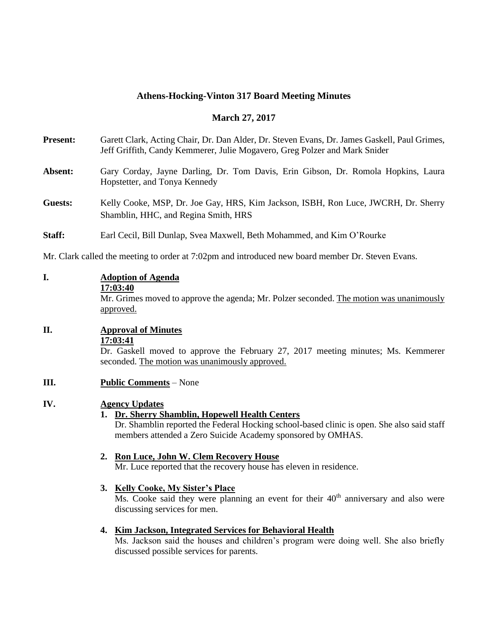#### **Athens-Hocking-Vinton 317 Board Meeting Minutes**

#### **March 27, 2017**

**Present:** Garett Clark, Acting Chair, Dr. Dan Alder, Dr. Steven Evans, Dr. James Gaskell, Paul Grimes, Jeff Griffith, Candy Kemmerer, Julie Mogavero, Greg Polzer and Mark Snider

#### **Absent:** Gary Corday, Jayne Darling, Dr. Tom Davis, Erin Gibson, Dr. Romola Hopkins, Laura Hopstetter, and Tonya Kennedy

- **Guests:** Kelly Cooke, MSP, Dr. Joe Gay, HRS, Kim Jackson, ISBH, Ron Luce, JWCRH, Dr. Sherry Shamblin, HHC, and Regina Smith, HRS
- **Staff:** Earl Cecil, Bill Dunlap, Svea Maxwell, Beth Mohammed, and Kim O'Rourke

Mr. Clark called the meeting to order at 7:02pm and introduced new board member Dr. Steven Evans.

### **I. Adoption of Agenda**

**17:03:40**

Mr. Grimes moved to approve the agenda; Mr. Polzer seconded. The motion was unanimously approved.

# **II. Approval of Minutes**

**17:03:41**

Dr. Gaskell moved to approve the February 27, 2017 meeting minutes; Ms. Kemmerer seconded. The motion was unanimously approved.

**III. Public Comments** – None

### **IV. Agency Updates**

#### **1. Dr. Sherry Shamblin, Hopewell Health Centers**

Dr. Shamblin reported the Federal Hocking school-based clinic is open. She also said staff members attended a Zero Suicide Academy sponsored by OMHAS.

#### **2. Ron Luce, John W. Clem Recovery House**

Mr. Luce reported that the recovery house has eleven in residence.

#### **3. Kelly Cooke, My Sister's Place**

 $\overline{Ms}$ . Cooke said they were planning an event for their  $40<sup>th</sup>$  anniversary and also were discussing services for men.

#### **4. Kim Jackson, Integrated Services for Behavioral Health**

Ms. Jackson said the houses and children's program were doing well. She also briefly discussed possible services for parents.